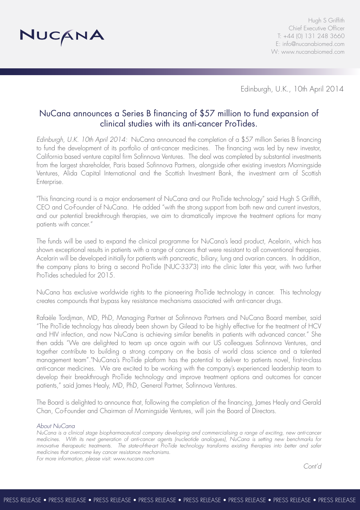

Hugh S Griffith Chief Executive Officer T: +44 (0) 131 248 3660 E: info@nucanabiomed.com W: www.nucanabiomed.com

Edinburgh, U.K., 10th April 2014

# NuCana announces a Series B financing of \$57 million to fund expansion of clinical studies with its anti-cancer ProTides.

*Edinburgh, U.K. 10th April 2014:* NuCana announced the completion of a \$57 million Series B financing to fund the development of its portfolio of anti-cancer medicines. The financing was led by new investor, California based venture capital firm Sofinnova Ventures. The deal was completed by substantial investments from the largest shareholder, Paris based Sofinnova Partners, alongside other existing investors Morningside Ventures, Alida Capital International and the Scottish Investment Bank, the investment arm of Scottish Enterprise.

"This financing round is a major endorsement of NuCana and our ProTide technology" said Hugh S Griffith, CEO and Co-Founder of NuCana. He added "with the strong support from both new and current investors, and our potential breakthrough therapies, we aim to dramatically improve the treatment options for many patients with cancer."

The funds will be used to expand the clinical programme for NuCana's lead product, Acelarin, which has shown exceptional results in patients with a range of cancers that were resistant to all conventional therapies. Acelarin will be developed initially for patients with pancreatic, biliary, lung and ovarian cancers. In addition, the company plans to bring a second ProTide (NUC-3373) into the clinic later this year, with two further ProTides scheduled for 2015.

NuCana has exclusive worldwide rights to the pioneering ProTide technology in cancer. This technology creates compounds that bypass key resistance mechanisms associated with anti-cancer drugs.

Rafaèle Tordjman, MD, PhD, Managing Partner at Sofinnova Partners and NuCana Board member, said "The ProTide technology has already been shown by Gilead to be highly effective for the treatment of HCV and HIV infection, and now NuCana is achieving similar benefits in patients with advanced cancer." She then adds "We are delighted to team up once again with our US colleagues Sofinnova Ventures, and together contribute to building a strong company on the basis of world class science and a talented management team"."NuCana's ProTide platform has the potential to deliver to patients novel, first-in-class anti-cancer medicines. We are excited to be working with the company's experienced leadership team to develop their breakthrough ProTide technology and improve treatment options and outcomes for cancer patients," said James Healy, MD, PhD, General Partner, Sofinnova Ventures.

The Board is delighted to announce that, following the completion of the financing, James Healy and Gerald Chan, Co-Founder and Chairman of Morningside Ventures, will join the Board of Directors.

## *About NuCana*

*NuCana is a clinical stage biopharmaceutical company developing and commercialising a range of exciting, new anti-cancer medicines. With its next generation of anti-cancer agents (nucleotide analogues), NuCana is setting new benchmarks for innovative therapeutic treatments. The state-of-the-art ProTide technology transforms existing therapies into better and safer medicines that overcome key cancer resistance mechanisms. For more information, please visit: www.nucana.com*

*Cont'd*